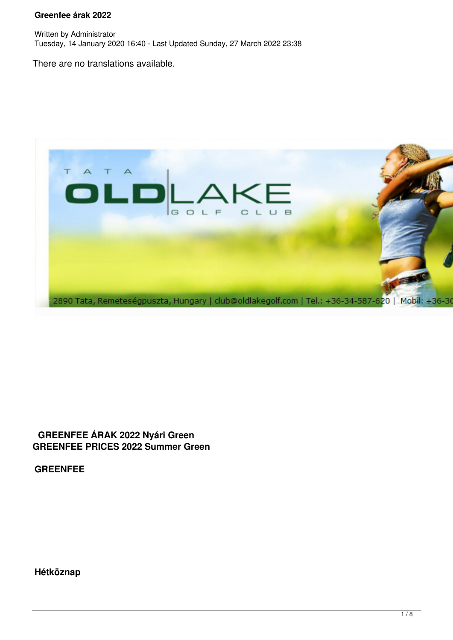There are no translations available.



# **GREENFEE ÁRAK 2022 Nyári Green GREENFEE PRICES 2022 Summer Green**

**GREENFEE**

**Hétköznap**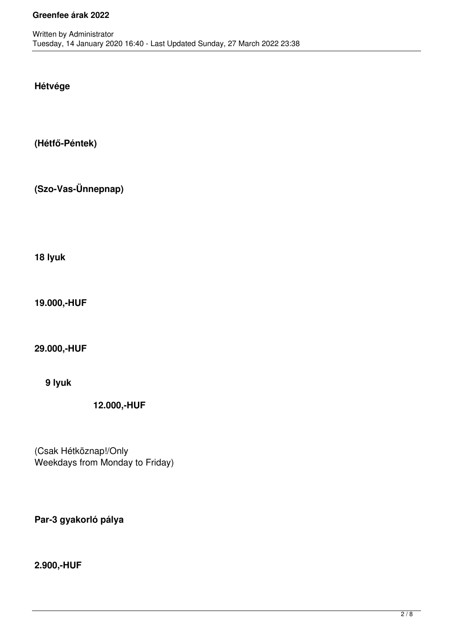**Hétvége**

**(Hétfő-Péntek)**

**(Szo-Vas-Ünnepnap)**

**18 lyuk**

**19.000,-HUF**

**29.000,-HUF**

**9 lyuk**

**12.000,-HUF**

(Csak Hétköznap!/Only Weekdays from Monday to Friday)

**Par-3 gyakorló pálya**

**2.900,-HUF**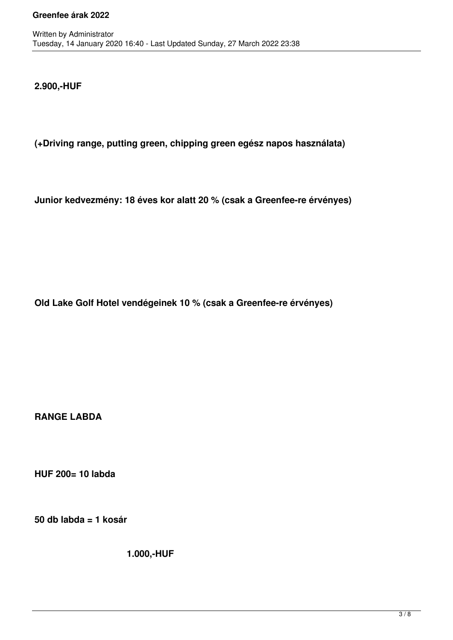**2.900,-HUF**

**(+Driving range, putting green, chipping green egész napos használata)**

**Junior kedvezmény: 18 éves kor alatt 20 % (csak a Greenfee-re érvényes)**

**Old Lake Golf Hotel vendégeinek 10 % (csak a Greenfee-re érvényes)**

**RANGE LABDA**

**HUF 200= 10 labda**

**50 db labda = 1 kosár**

**1.000,-HUF**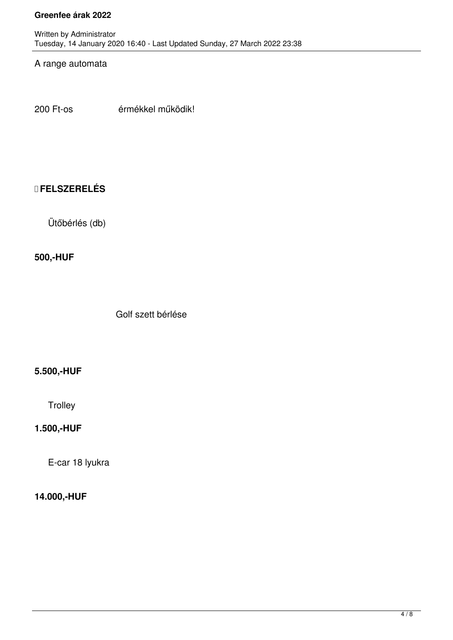# A range automata

200 Ft-os érmékkel működik!

# **FELSZERELÉS**

Ütőbérlés (db)

#### **500,-HUF**

Golf szett bérlése

### **5.500,-HUF**

# **Trolley**

### **1.500,-HUF**

E-car 18 lyukra

### **14.000,-HUF**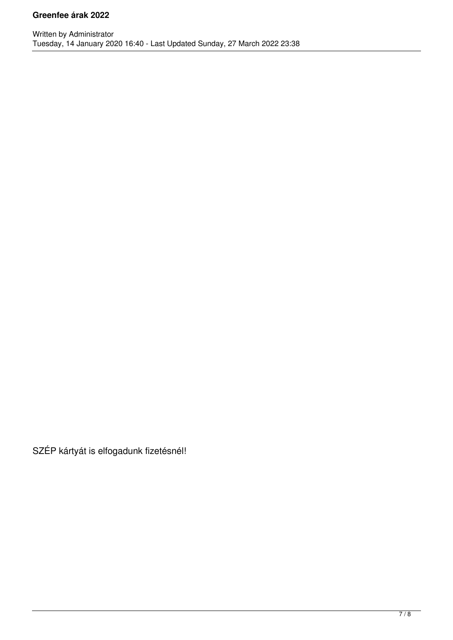SZÉP kártyát is elfogadunk fizetésnél!